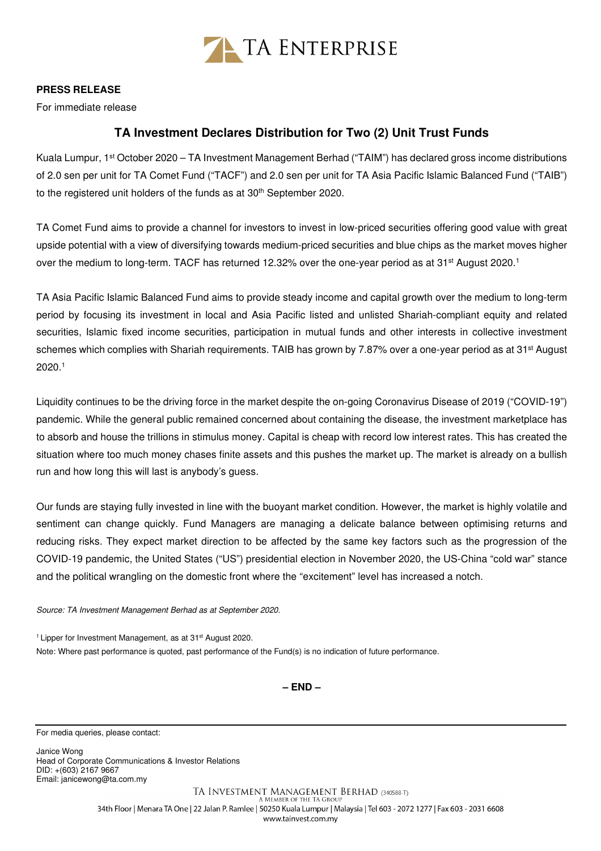

## **PRESS RELEASE**

For immediate release

## **TA Investment Declares Distribution for Two (2) Unit Trust Funds**

Kuala Lumpur, 1st October 2020 – TA Investment Management Berhad ("TAIM") has declared gross income distributions of 2.0 sen per unit for TA Comet Fund ("TACF") and 2.0 sen per unit for TA Asia Pacific Islamic Balanced Fund ("TAIB") to the registered unit holders of the funds as at 30<sup>th</sup> September 2020.

TA Comet Fund aims to provide a channel for investors to invest in low-priced securities offering good value with great upside potential with a view of diversifying towards medium-priced securities and blue chips as the market moves higher over the medium to long-term. TACF has returned 12.32% over the one-year period as at 31<sup>st</sup> August 2020.<sup>1</sup>

TA Asia Pacific Islamic Balanced Fund aims to provide steady income and capital growth over the medium to long-term period by focusing its investment in local and Asia Pacific listed and unlisted Shariah-compliant equity and related securities, Islamic fixed income securities, participation in mutual funds and other interests in collective investment schemes which complies with Shariah requirements. TAIB has grown by 7.87% over a one-year period as at 31<sup>st</sup> August 2020.<sup>1</sup>

Liquidity continues to be the driving force in the market despite the on-going Coronavirus Disease of 2019 ("COVID-19") pandemic. While the general public remained concerned about containing the disease, the investment marketplace has to absorb and house the trillions in stimulus money. Capital is cheap with record low interest rates. This has created the situation where too much money chases finite assets and this pushes the market up. The market is already on a bullish run and how long this will last is anybody's guess.

Our funds are staying fully invested in line with the buoyant market condition. However, the market is highly volatile and sentiment can change quickly. Fund Managers are managing a delicate balance between optimising returns and reducing risks. They expect market direction to be affected by the same key factors such as the progression of the COVID-19 pandemic, the United States ("US") presidential election in November 2020, the US-China "cold war" stance and the political wrangling on the domestic front where the "excitement" level has increased a notch.

Source: TA Investment Management Berhad as at September 2020.

<sup>1</sup> Lipper for Investment Management, as at 31<sup>st</sup> August 2020. Note: Where past performance is quoted, past performance of the Fund(s) is no indication of future performance.

**– END –**

For media queries, please contact:

Janice Wong Head of Corporate Communications & Investor Relations DID: +(603) 2167 9667 Email: janicewong@ta.com.my